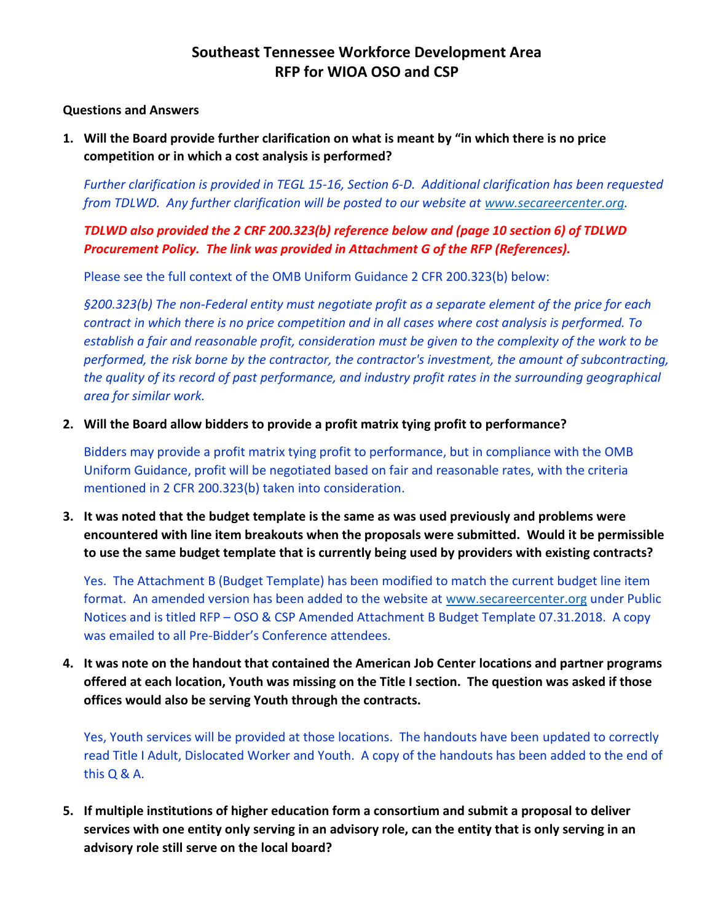### **Southeast Tennessee Workforce Development Area RFP for WIOA OSO and CSP**

#### **Questions and Answers**

**1. Will the Board provide further clarification on what is meant by "in which there is no price competition or in which a cost analysis is performed?**

*Further clarification is provided in TEGL 15-16, Section 6-D. Additional clarification has been requested from TDLWD. Any further clarification will be posted to our website at [www.secareercenter.org.](http://www.secareercenter.org/)*

*TDLWD also provided the 2 CRF 200.323(b) reference below and (page 10 section 6) of TDLWD Procurement Policy. The link was provided in Attachment G of the RFP (References).* 

Please see the full context of the OMB Uniform Guidance 2 CFR 200.323(b) below:

*§200.323(b) The non-Federal entity must negotiate profit as a separate element of the price for each contract in which there is no price competition and in all cases where cost analysis is performed. To establish a fair and reasonable profit, consideration must be given to the complexity of the work to be performed, the risk borne by the contractor, the contractor's investment, the amount of subcontracting, the quality of its record of past performance, and industry profit rates in the surrounding geographical area for similar work.*

**2. Will the Board allow bidders to provide a profit matrix tying profit to performance?**

Bidders may provide a profit matrix tying profit to performance, but in compliance with the OMB Uniform Guidance, profit will be negotiated based on fair and reasonable rates, with the criteria mentioned in 2 CFR 200.323(b) taken into consideration.

**3. It was noted that the budget template is the same as was used previously and problems were encountered with line item breakouts when the proposals were submitted. Would it be permissible to use the same budget template that is currently being used by providers with existing contracts?**

Yes. The Attachment B (Budget Template) has been modified to match the current budget line item format. An amended version has been added to the website at [www.secareercenter.org](http://www.secareercenter.org/) under Public Notices and is titled RFP – OSO & CSP Amended Attachment B Budget Template 07.31.2018. A copy was emailed to all Pre-Bidder's Conference attendees.

**4. It was note on the handout that contained the American Job Center locations and partner programs offered at each location, Youth was missing on the Title I section. The question was asked if those offices would also be serving Youth through the contracts.**

Yes, Youth services will be provided at those locations. The handouts have been updated to correctly read Title I Adult, Dislocated Worker and Youth. A copy of the handouts has been added to the end of this Q & A.

**5. If multiple institutions of higher education form a consortium and submit a proposal to deliver services with one entity only serving in an advisory role, can the entity that is only serving in an advisory role still serve on the local board?**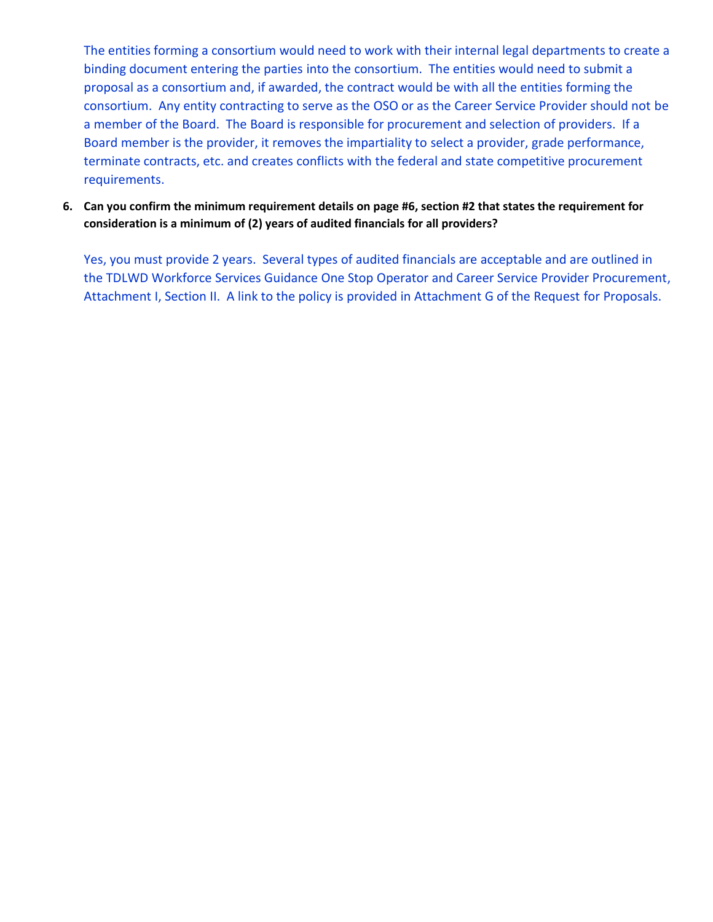The entities forming a consortium would need to work with their internal legal departments to create a binding document entering the parties into the consortium. The entities would need to submit a proposal as a consortium and, if awarded, the contract would be with all the entities forming the consortium. Any entity contracting to serve as the OSO or as the Career Service Provider should not be a member of the Board. The Board is responsible for procurement and selection of providers. If a Board member is the provider, it removes the impartiality to select a provider, grade performance, terminate contracts, etc. and creates conflicts with the federal and state competitive procurement requirements.

**6. Can you confirm the minimum requirement details on page #6, section #2 that states the requirement for consideration is a minimum of (2) years of audited financials for all providers?**

Yes, you must provide 2 years. Several types of audited financials are acceptable and are outlined in the TDLWD Workforce Services Guidance One Stop Operator and Career Service Provider Procurement, Attachment I, Section II. A link to the policy is provided in Attachment G of the Request for Proposals.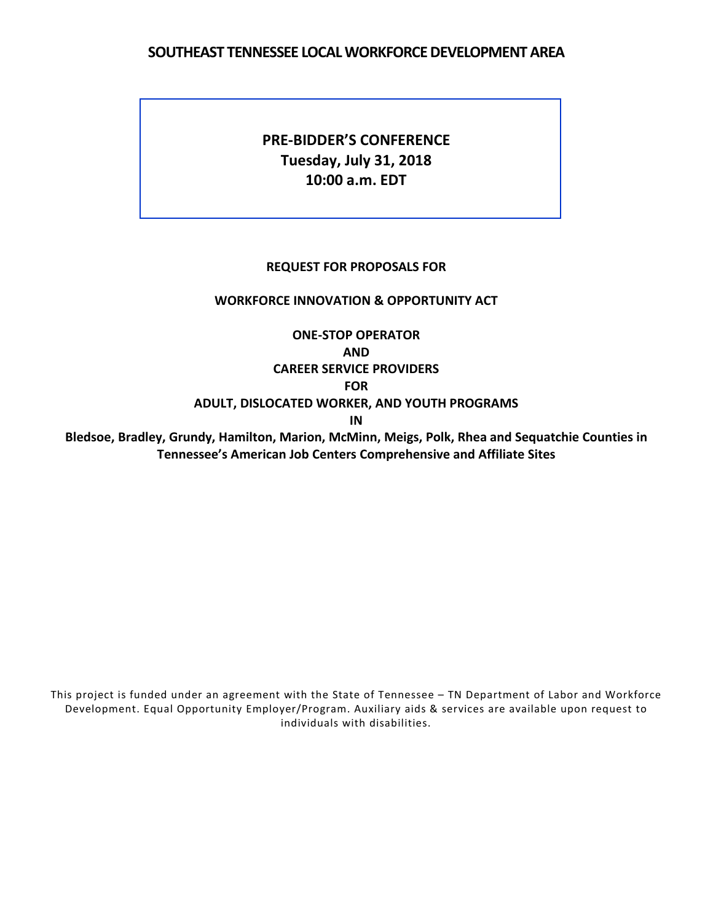#### **SOUTHEAST TENNESSEE LOCAL WORKFORCE DEVELOPMENT AREA**

### **PRE-BIDDER'S CONFERENCE Tuesday, July 31, 2018 10:00 a.m. EDT**

#### **REQUEST FOR PROPOSALS FOR**

#### **WORKFORCE INNOVATION & OPPORTUNITY ACT**

**Tennessee's American Job Centers Comprehensive and Affiliate Sites**

**ONE-STOP OPERATOR AND CAREER SERVICE PROVIDERS FOR ADULT, DISLOCATED WORKER, AND YOUTH PROGRAMS IN Bledsoe, Bradley, Grundy, Hamilton, Marion, McMinn, Meigs, Polk, Rhea and Sequatchie Counties in**

This project is funded under an agreement with the State of Tennessee – TN Department of Labor and Workforce Development. Equal Opportunity Employer/Program. Auxiliary aids & services are available upon request to individuals with disabilities.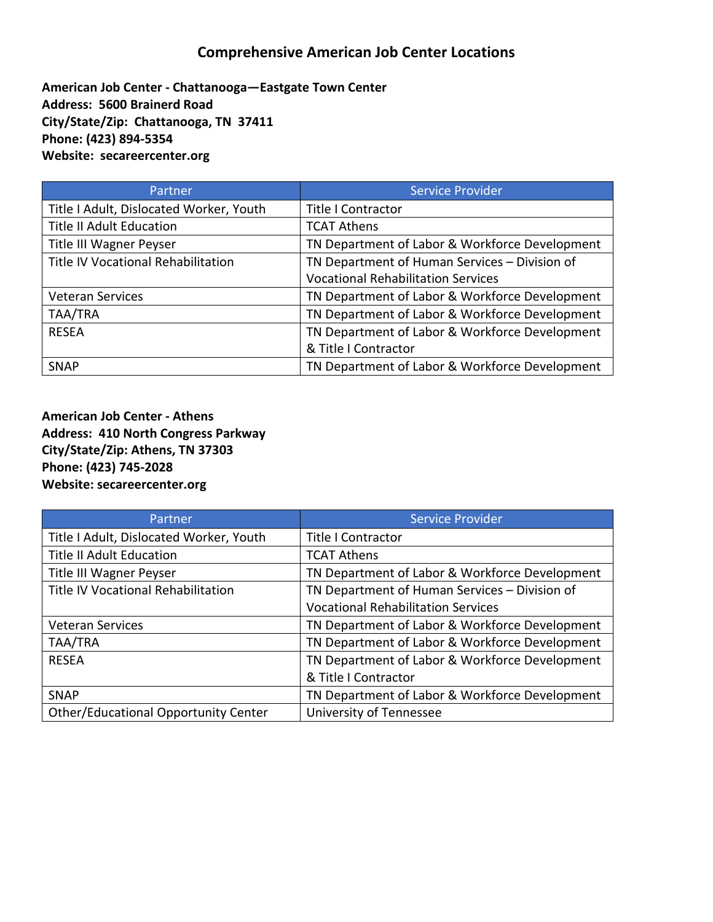### **Comprehensive American Job Center Locations**

**American Job Center - Chattanooga—Eastgate Town Center Address: 5600 Brainerd Road City/State/Zip: Chattanooga, TN 37411 Phone: (423) 894-5354 Website: secareercenter.org**

| Partner                                 | <b>Service Provider</b>                        |
|-----------------------------------------|------------------------------------------------|
| Title I Adult, Dislocated Worker, Youth | <b>Title I Contractor</b>                      |
| <b>Title II Adult Education</b>         | <b>TCAT Athens</b>                             |
| Title III Wagner Peyser                 | TN Department of Labor & Workforce Development |
| Title IV Vocational Rehabilitation      | TN Department of Human Services - Division of  |
|                                         | <b>Vocational Rehabilitation Services</b>      |
| <b>Veteran Services</b>                 | TN Department of Labor & Workforce Development |
| TAA/TRA                                 | TN Department of Labor & Workforce Development |
| <b>RESEA</b>                            | TN Department of Labor & Workforce Development |
|                                         | & Title I Contractor                           |
| <b>SNAP</b>                             | TN Department of Labor & Workforce Development |

**American Job Center - Athens Address: 410 North Congress Parkway City/State/Zip: Athens, TN 37303 Phone: (423) 745-2028 Website: secareercenter.org**

| Partner                                   | <b>Service Provider</b>                        |
|-------------------------------------------|------------------------------------------------|
| Title I Adult, Dislocated Worker, Youth   | <b>Title I Contractor</b>                      |
| <b>Title II Adult Education</b>           | <b>TCAT Athens</b>                             |
| Title III Wagner Peyser                   | TN Department of Labor & Workforce Development |
| <b>Title IV Vocational Rehabilitation</b> | TN Department of Human Services - Division of  |
|                                           | <b>Vocational Rehabilitation Services</b>      |
| <b>Veteran Services</b>                   | TN Department of Labor & Workforce Development |
| TAA/TRA                                   | TN Department of Labor & Workforce Development |
| <b>RESEA</b>                              | TN Department of Labor & Workforce Development |
|                                           | & Title I Contractor                           |
| <b>SNAP</b>                               | TN Department of Labor & Workforce Development |
| Other/Educational Opportunity Center      | University of Tennessee                        |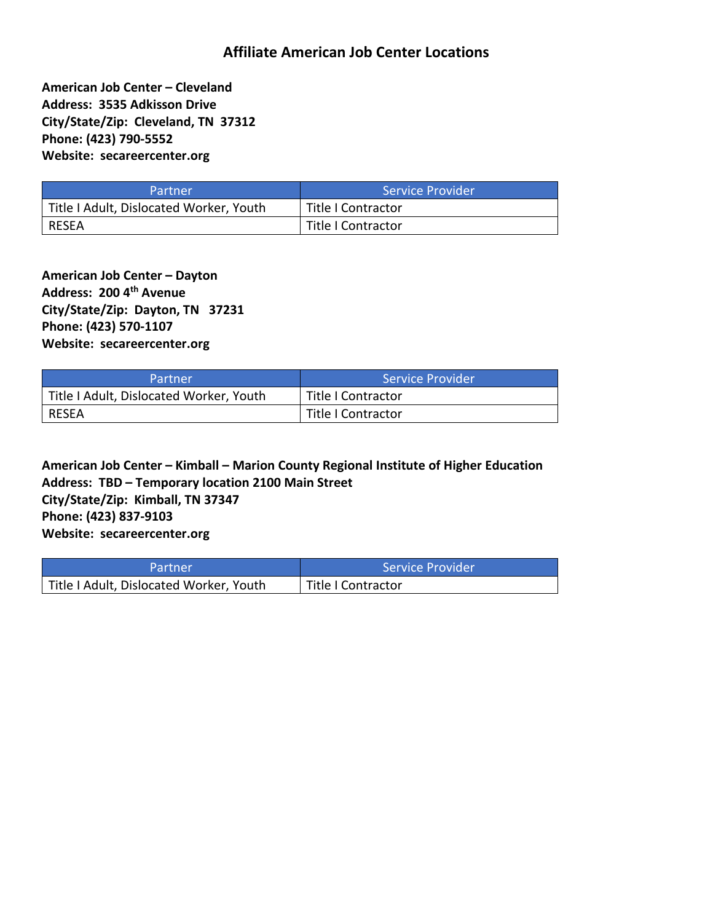### **Affiliate American Job Center Locations**

**American Job Center – Cleveland Address: 3535 Adkisson Drive City/State/Zip: Cleveland, TN 37312 Phone: (423) 790-5552 Website: secareercenter.org**

| Partner                                 | Service Provider   |
|-----------------------------------------|--------------------|
| Title I Adult, Dislocated Worker, Youth | Title I Contractor |
| RESEA                                   | Title I Contractor |

**American Job Center – Dayton Address: 200 4 th Avenue City/State/Zip: Dayton, TN 37231 Phone: (423) 570-1107 Website: secareercenter.org**

| Partner                                 | Service Provider   |
|-----------------------------------------|--------------------|
| Title I Adult, Dislocated Worker, Youth | Title I Contractor |
| RESEA                                   | Title I Contractor |

**American Job Center – Kimball – Marion County Regional Institute of Higher Education Address: TBD – Temporary location 2100 Main Street City/State/Zip: Kimball, TN 37347 Phone: (423) 837-9103 Website: secareercenter.org**

| 'Partner                                | Service Provider   |
|-----------------------------------------|--------------------|
| Title I Adult, Dislocated Worker, Youth | Title I Contractor |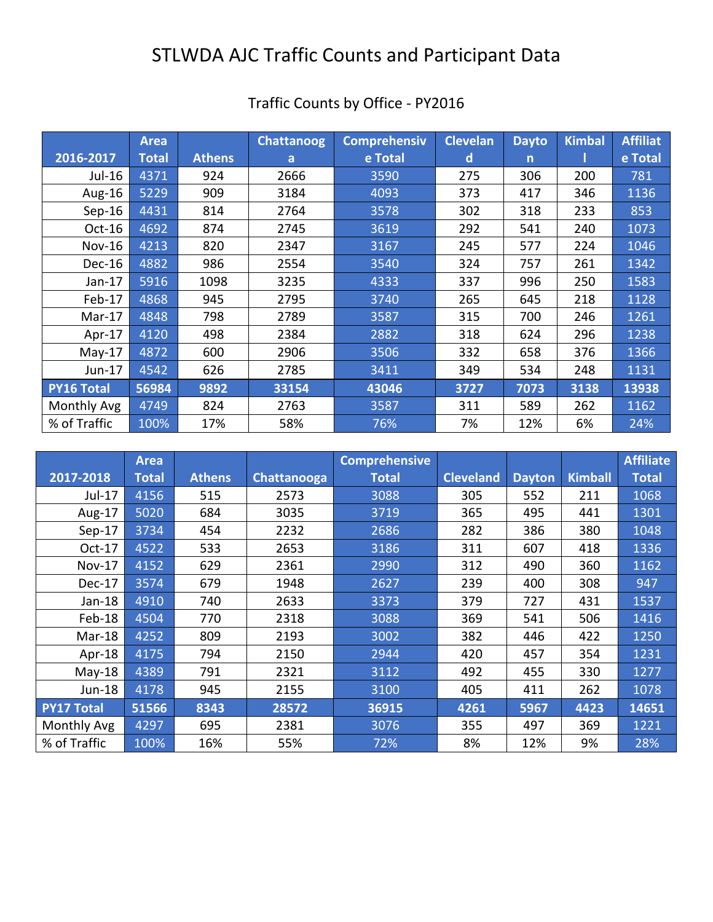# STLWDA AJC Traffic Counts and Participant Data

|                   | <b>Area</b>  |               | <b>Chattanoog</b> | <b>Comprehensiv</b> | <b>Clevelan</b> | <b>Dayto</b> | <b>Kimbal</b> | <b>Affiliat</b> |
|-------------------|--------------|---------------|-------------------|---------------------|-----------------|--------------|---------------|-----------------|
| 2016-2017         | <b>Total</b> | <b>Athens</b> | a                 | e Total             | d               | $\mathsf{n}$ |               | e Total         |
| Jul-16            | 4371         | 924           | 2666              | 3590                | 275             | 306          | 200           | 781             |
| Aug-16            | 5229         | 909           | 3184              | 4093                | 373             | 417          | 346           | 1136            |
| $Sep-16$          | 4431         | 814           | 2764              | 3578                | 302             | 318          | 233           | 853             |
| Oct-16            | 4692         | 874           | 2745              | 3619                | 292             | 541          | 240           | 1073            |
| <b>Nov-16</b>     | 4213         | 820           | 2347              | 3167                | 245             | 577          | 224           | 1046            |
| Dec-16            | 4882         | 986           | 2554              | 3540                | 324             | 757          | 261           | 1342            |
| Jan-17            | 5916         | 1098          | 3235              | 4333                | 337             | 996          | 250           | 1583            |
| Feb-17            | 4868         | 945           | 2795              | 3740                | 265             | 645          | 218           | 1128            |
| $Mar-17$          | 4848         | 798           | 2789              | 3587                | 315             | 700          | 246           | 1261            |
| Apr-17            | 4120         | 498           | 2384              | 2882                | 318             | 624          | 296           | 1238            |
| $May-17$          | 4872         | 600           | 2906              | 3506                | 332             | 658          | 376           | 1366            |
| Jun-17            | 4542         | 626           | 2785              | 3411                | 349             | 534          | 248           | 1131            |
| <b>PY16 Total</b> | 56984        | 9892          | 33154             | 43046               | 3727            | 7073         | 3138          | 13938           |
| Monthly Avg       | 4749         | 824           | 2763              | 3587                | 311             | 589          | 262           | 1162            |
| % of Traffic      | 100%         | 17%           | 58%               | 76%                 | 7%              | 12%          | 6%            | 24%             |

## Traffic Counts by Office - PY2016

|                   | <b>Area</b>  |               |             | <b>Comprehensive</b> |                  |               |                | <b>Affiliate</b> |
|-------------------|--------------|---------------|-------------|----------------------|------------------|---------------|----------------|------------------|
| 2017-2018         | <b>Total</b> | <b>Athens</b> | Chattanooga | <b>Total</b>         | <b>Cleveland</b> | <b>Dayton</b> | <b>Kimball</b> | <b>Total</b>     |
| Jul-17            | 4156         | 515           | 2573        | 3088                 | 305              | 552           | 211            | 1068             |
| Aug-17            | 5020         | 684           | 3035        | 3719                 | 365              | 495           | 441            | 1301             |
| $Sep-17$          | 3734         | 454           | 2232        | 2686                 | 282              | 386           | 380            | 1048             |
| Oct-17            | 4522         | 533           | 2653        | 3186                 | 311              | 607           | 418            | 1336             |
| <b>Nov-17</b>     | 4152         | 629           | 2361        | 2990                 | 312              | 490           | 360            | 1162             |
| Dec-17            | 3574         | 679           | 1948        | 2627                 | 239              | 400           | 308            | 947              |
| $Jan-18$          | 4910         | 740           | 2633        | 3373                 | 379              | 727           | 431            | 1537             |
| Feb-18            | 4504         | 770           | 2318        | 3088                 | 369              | 541           | 506            | 1416             |
| Mar-18            | 4252         | 809           | 2193        | 3002                 | 382              | 446           | 422            | 1250             |
| Apr-18            | 4175         | 794           | 2150        | 2944                 | 420              | 457           | 354            | 1231             |
| $May-18$          | 4389         | 791           | 2321        | 3112                 | 492              | 455           | 330            | 1277             |
| Jun-18            | 4178         | 945           | 2155        | 3100                 | 405              | 411           | 262            | 1078             |
| <b>PY17 Total</b> | 51566        | 8343          | 28572       | 36915                | 4261             | 5967          | 4423           | 14651            |
| Monthly Avg       | 4297         | 695           | 2381        | 3076                 | 355              | 497           | 369            | 1221             |
| % of Traffic      | 100%         | 16%           | 55%         | 72%                  | 8%               | 12%           | 9%             | 28%              |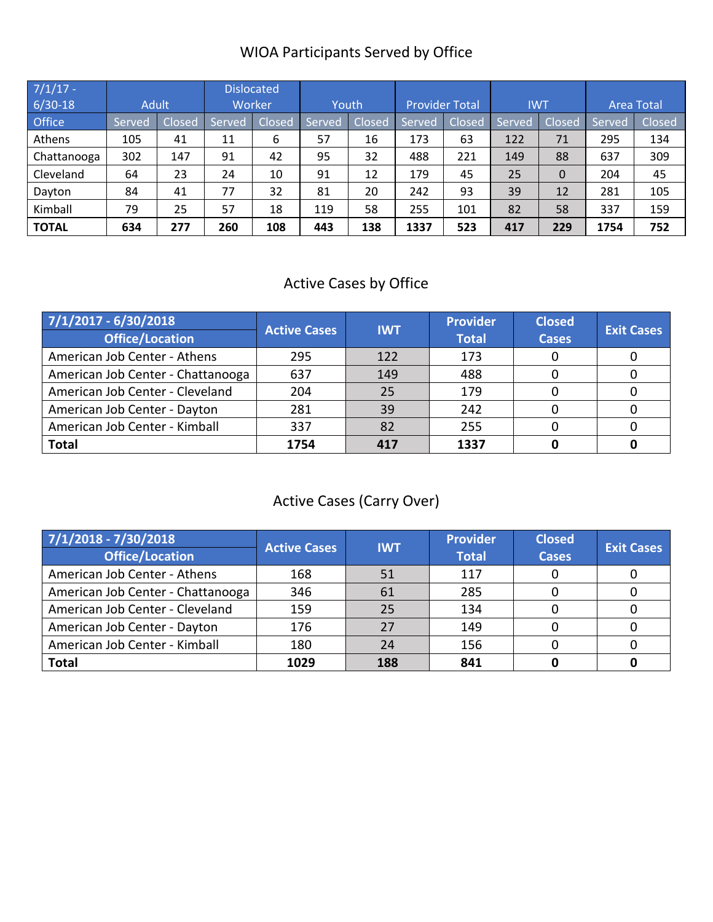## WIOA Participants Served by Office

| $7/1/17$ -<br>$6/30-18$ | <b>Adult</b> |        | <b>Dislocated</b><br>Worker |        | Youth  |        | <b>Provider Total</b> |        | <b>IWT</b> |        |        | <b>Area Total</b> |
|-------------------------|--------------|--------|-----------------------------|--------|--------|--------|-----------------------|--------|------------|--------|--------|-------------------|
| <b>Office</b>           | Served       | Closed | Served                      | Closed | Served | Closed | Served                | Closed | Served     | Closed | Served | Closed            |
| Athens                  | 105          | 41     | 11                          | 6      | 57     | 16     | 173                   | 63     | 122        | 71     | 295    | 134               |
| Chattanooga             | 302          | 147    | 91                          | 42     | 95     | 32     | 488                   | 221    | 149        | 88     | 637    | 309               |
| Cleveland               | 64           | 23     | 24                          | 10     | 91     | 12     | 179                   | 45     | 25         | 0      | 204    | 45                |
| Dayton                  | 84           | 41     | 77                          | 32     | 81     | 20     | 242                   | 93     | 39         | 12     | 281    | 105               |
| Kimball                 | 79           | 25     | 57                          | 18     | 119    | 58     | 255                   | 101    | 82         | 58     | 337    | 159               |
| <b>TOTAL</b>            | 634          | 277    | 260                         | 108    | 443    | 138    | 1337                  | 523    | 417        | 229    | 1754   | 752               |

## Active Cases by Office

| $7/1/2017 - 6/30/2018$<br><b>Office/Location</b> | <b>Active Cases</b> | <b>IWT</b> | <b>Provider</b><br><b>Total</b> | <b>Closed</b><br><b>Cases</b> | <b>Exit Cases</b> |
|--------------------------------------------------|---------------------|------------|---------------------------------|-------------------------------|-------------------|
| American Job Center - Athens                     | 295                 | 122        | 173                             |                               |                   |
| American Job Center - Chattanooga                | 637                 | 149        | 488                             |                               |                   |
| American Job Center - Cleveland                  | 204                 | 25         | 179                             |                               |                   |
| American Job Center - Dayton                     | 281                 | 39         | 242                             |                               |                   |
| American Job Center - Kimball                    | 337                 | 82         | 255                             |                               |                   |
| <b>Total</b>                                     | 1754                | 417        | 1337                            |                               |                   |

## Active Cases (Carry Over)

| 7/1/2018 - 7/30/2018<br><b>Office/Location</b> | <b>Active Cases</b> | <b>IWT</b> | <b>Provider</b><br><b>Total</b> | <b>Closed</b><br><b>Cases</b> | <b>Exit Cases</b> |
|------------------------------------------------|---------------------|------------|---------------------------------|-------------------------------|-------------------|
| American Job Center - Athens                   | 168                 | 51         | 117                             |                               |                   |
| American Job Center - Chattanooga              | 346                 | 61         | 285                             |                               |                   |
| American Job Center - Cleveland                | 159                 | 25         | 134                             |                               |                   |
| American Job Center - Dayton                   | 176                 | 27         | 149                             |                               |                   |
| American Job Center - Kimball                  | 180                 | 24         | 156                             |                               |                   |
| <b>Total</b>                                   | 1029                | 188        | 841                             |                               |                   |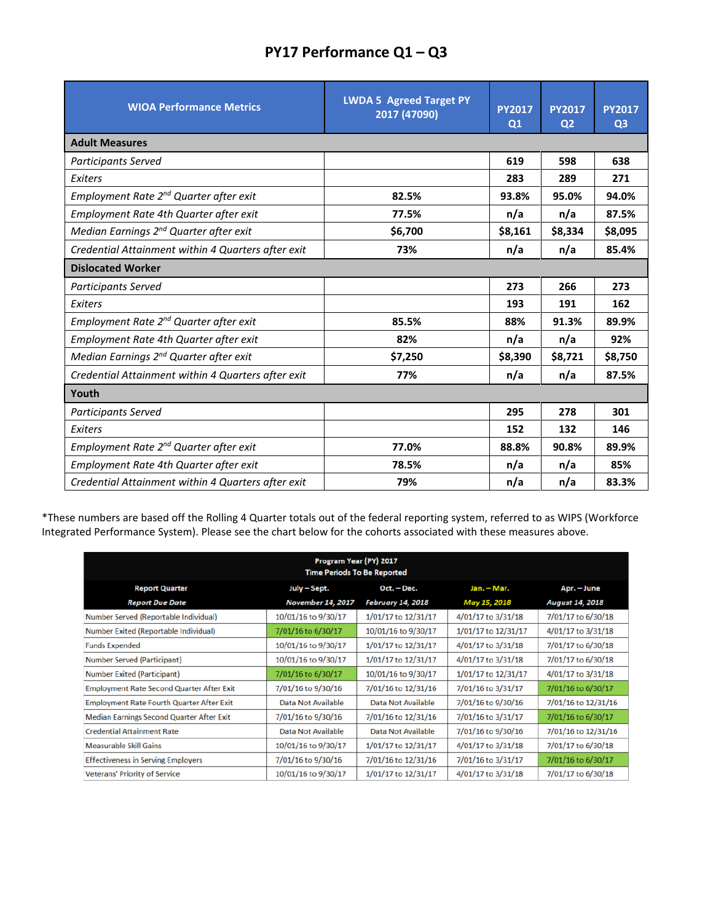|  | PY17 Performance Q1-Q3 |  |
|--|------------------------|--|
|--|------------------------|--|

| <b>WIOA Performance Metrics</b>                    | <b>LWDA 5 Agreed Target PY</b><br>2017 (47090) | <b>PY2017</b><br>Q1 | <b>PY2017</b><br>Q <sub>2</sub> | <b>PY2017</b><br>Q <sub>3</sub> |
|----------------------------------------------------|------------------------------------------------|---------------------|---------------------------------|---------------------------------|
| <b>Adult Measures</b>                              |                                                |                     |                                 |                                 |
| <b>Participants Served</b>                         |                                                | 619                 | 598                             | 638                             |
| Exiters                                            |                                                | 283                 | 289                             | 271                             |
| Employment Rate 2 <sup>nd</sup> Quarter after exit | 82.5%                                          | 93.8%               | 95.0%                           | 94.0%                           |
| Employment Rate 4th Quarter after exit             | 77.5%                                          | n/a                 | n/a                             | 87.5%                           |
| Median Earnings 2 <sup>nd</sup> Quarter after exit | \$6,700                                        | \$8,161             | \$8,334                         | \$8,095                         |
| Credential Attainment within 4 Quarters after exit | 73%                                            | n/a                 | n/a                             | 85.4%                           |
| <b>Dislocated Worker</b>                           |                                                |                     |                                 |                                 |
| <b>Participants Served</b>                         |                                                | 273                 | 266                             | 273                             |
| Exiters                                            |                                                | 193                 | 191                             | 162                             |
| Employment Rate 2 <sup>nd</sup> Quarter after exit | 85.5%                                          | 88%                 | 91.3%                           | 89.9%                           |
| Employment Rate 4th Quarter after exit             | 82%                                            | n/a                 | n/a                             | 92%                             |
| Median Earnings 2 <sup>nd</sup> Quarter after exit | \$7,250                                        | \$8,390             | \$8,721                         | \$8,750                         |
| Credential Attainment within 4 Quarters after exit | 77%                                            | n/a                 | n/a                             | 87.5%                           |
| Youth                                              |                                                |                     |                                 |                                 |
| <b>Participants Served</b>                         |                                                | 295                 | 278                             | 301                             |
| Exiters                                            |                                                | 152                 | 132                             | 146                             |
| Employment Rate 2 <sup>nd</sup> Quarter after exit | 77.0%                                          | 88.8%               | 90.8%                           | 89.9%                           |
| Employment Rate 4th Quarter after exit             | 78.5%                                          | n/a                 | n/a                             | 85%                             |
| Credential Attainment within 4 Quarters after exit | 79%                                            | n/a                 | n/a                             | 83.3%                           |

\*These numbers are based off the Rolling 4 Quarter totals out of the federal reporting system, referred to as WIPS (Workforce Integrated Performance System). Please see the chart below for the cohorts associated with these measures above.

| Program Year (PY) 2017<br><b>Time Periods To Be Reported</b> |                           |                           |                     |                        |
|--------------------------------------------------------------|---------------------------|---------------------------|---------------------|------------------------|
| <b>Report Quarter</b>                                        | July – Sept.              | Oct. - Dec.               | Jan. - Mar.         | Apr. – June            |
| <b>Report Due Date</b>                                       | <b>November 14, 2017</b>  | <b>February 14, 2018</b>  | May 15, 2018        | <b>August 14, 2018</b> |
| Number Served (Reportable Individual)                        | 10/01/16 to 9/30/17       | 1/01/17 to 12/31/17       | 4/01/17 to 3/31/18  | 7/01/17 to 6/30/18     |
| Number Exited (Reportable Individual)                        | 7/01/16 to 6/30/17        | 10/01/16 to 9/30/17       | 1/01/17 to 12/31/17 | 4/01/17 to 3/31/18     |
| <b>Funds Expended</b>                                        | 10/01/16 to 9/30/17       | 1/01/17 to 12/31/17       | 4/01/17 to 3/31/18  | 7/01/17 to 6/30/18     |
| <b>Number Served (Participant)</b>                           | 10/01/16 to 9/30/17       | 1/01/17 to 12/31/17       | 4/01/17 to 3/31/18  | 7/01/17 to 6/30/18     |
| <b>Number Exited (Participant)</b>                           | 7/01/16 to 6/30/17        | 10/01/16 to 9/30/17       | 1/01/17 to 12/31/17 | 4/01/17 to 3/31/18     |
| <b>Employment Rate Second Quarter After Exit</b>             | 7/01/16 to 9/30/16        | 7/01/16 to 12/31/16       | 7/01/16 to 3/31/17  | 7/01/16 to 6/30/17     |
| <b>Employment Rate Fourth Quarter After Exit</b>             | <b>Data Not Available</b> | <b>Data Not Available</b> | 7/01/16 to 9/30/16  | 7/01/16 to 12/31/16    |
| <b>Median Earnings Second Quarter After Exit</b>             | 7/01/16 to 9/30/16        | 7/01/16 to 12/31/16       | 7/01/16 to 3/31/17  | 7/01/16 to 6/30/17     |
| <b>Credential Attainment Rate</b>                            | <b>Data Not Available</b> | <b>Data Not Available</b> | 7/01/16 to 9/30/16  | 7/01/16 to 12/31/16    |
| <b>Measurable Skill Gains</b>                                | 10/01/16 to 9/30/17       | 1/01/17 to 12/31/17       | 4/01/17 to 3/31/18  | 7/01/17 to 6/30/18     |
| <b>Effectiveness in Serving Employers</b>                    | 7/01/16 to 9/30/16        | 7/01/16 to 12/31/16       | 7/01/16 to 3/31/17  | 7/01/16 to 6/30/17     |
| <b>Veterans' Priority of Service</b>                         | 10/01/16 to 9/30/17       | 1/01/17 to 12/31/17       | 4/01/17 to 3/31/18  | 7/01/17 to 6/30/18     |